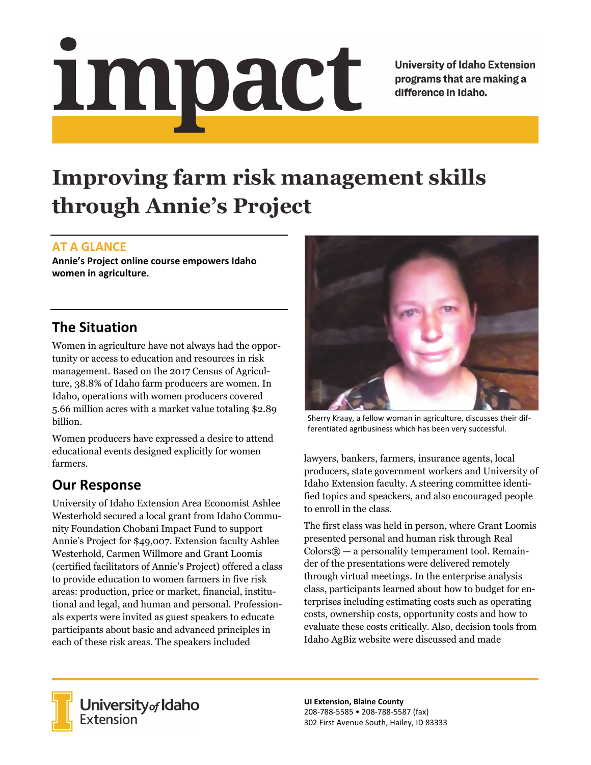Impact

**University of Idaho Extension** programs that are making a difference in Idaho.

# **Improving farm risk management skills through Annie's Project**

#### **AT A GLANCE**

**Annie's Project online course empowers Idaho women in agriculture.**

## **The Situation**

Women in agriculture have not always had the opportunity or access to education and resources in risk management. Based on the 2017 Census of Agriculture, 38.8% of Idaho farm producers are women. In Idaho, operations with women producers covered 5.66 million acres with a market value totaling \$2.89 billion.

Women producers have expressed a desire to attend educational events designed explicitly for women farmers.

## **Our Response**

University of Idaho Extension Area Economist Ashlee Westerhold secured a local grant from Idaho Community Foundation Chobani Impact Fund to support Annie's Project for \$49,007. Extension faculty Ashlee Westerhold, Carmen Willmore and Grant Loomis (certified facilitators of Annie's Project) offered a class to provide education to women farmers in five risk areas: production, price or market, financial, institutional and legal, and human and personal. Professionals experts were invited as guest speakers to educate participants about basic and advanced principles in each of these risk areas. The speakers included



Sherry Kraay, a fellow woman in agriculture, discusses their dif‐ ferentiated agribusiness which has been very successful.

lawyers, bankers, farmers, insurance agents, local producers, state government workers and University of Idaho Extension faculty. A steering committee identified topics and speackers, and also encouraged people to enroll in the class.

The first class was held in person, where Grant Loomis presented personal and human risk through Real  $\text{Colors}$  $\circledR$  — a personality temperament tool. Remainder of the presentations were delivered remotely through virtual meetings. In the enterprise analysis class, participants learned about how to budget for enterprises including estimating costs such as operating costs, ownership costs, opportunity costs and how to evaluate these costs critically. Also, decision tools from Idaho AgBiz website were discussed and made



University of Idaho<br>Extension

**UI Extension, Blaine County** 208‐788‐5585 • 208‐788‐5587 (fax) 302 First Avenue South, Hailey, ID 83333